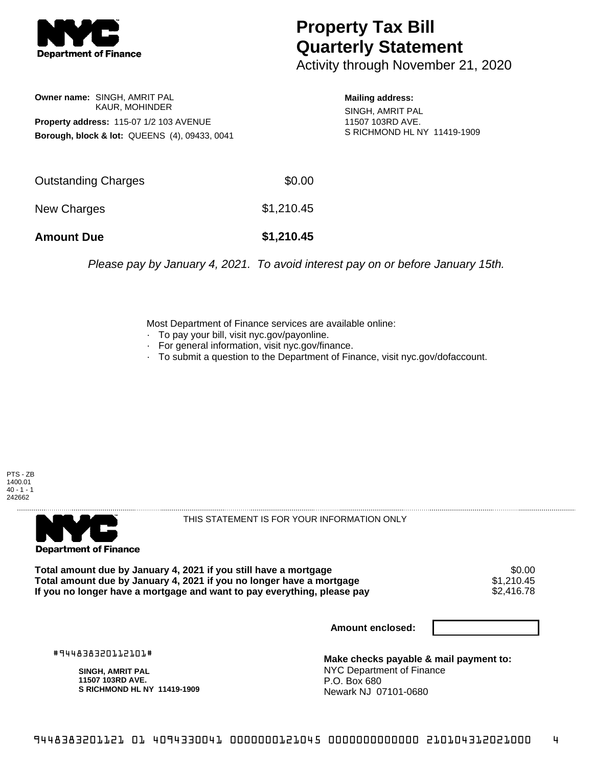

## **Property Tax Bill Quarterly Statement**

Activity through November 21, 2020

## **Owner name:** SINGH, AMRIT PAL KAUR, MOHINDER **Property address:** 115-07 1/2 103 AVENUE **Borough, block & lot:** QUEENS (4), 09433, 0041

**Mailing address:**

SINGH, AMRIT PAL 11507 103RD AVE. S RICHMOND HL NY 11419-1909

| <b>Amount Due</b>   | \$1,210.45 |
|---------------------|------------|
| New Charges         | \$1,210.45 |
| Outstanding Charges | \$0.00     |

Please pay by January 4, 2021. To avoid interest pay on or before January 15th.

Most Department of Finance services are available online:

- · To pay your bill, visit nyc.gov/payonline.
- For general information, visit nyc.gov/finance.
- · To submit a question to the Department of Finance, visit nyc.gov/dofaccount.





THIS STATEMENT IS FOR YOUR INFORMATION ONLY

Total amount due by January 4, 2021 if you still have a mortgage \$0.00<br>Total amount due by January 4, 2021 if you no longer have a mortgage \$1.210.45 **Total amount due by January 4, 2021 if you no longer have a mortgage**  $$1,210.45$ **<br>If you no longer have a mortgage and want to pay everything, please pay**  $$2,416.78$ If you no longer have a mortgage and want to pay everything, please pay

**Amount enclosed:**

#944838320112101#

**SINGH, AMRIT PAL 11507 103RD AVE. S RICHMOND HL NY 11419-1909**

**Make checks payable & mail payment to:** NYC Department of Finance P.O. Box 680 Newark NJ 07101-0680